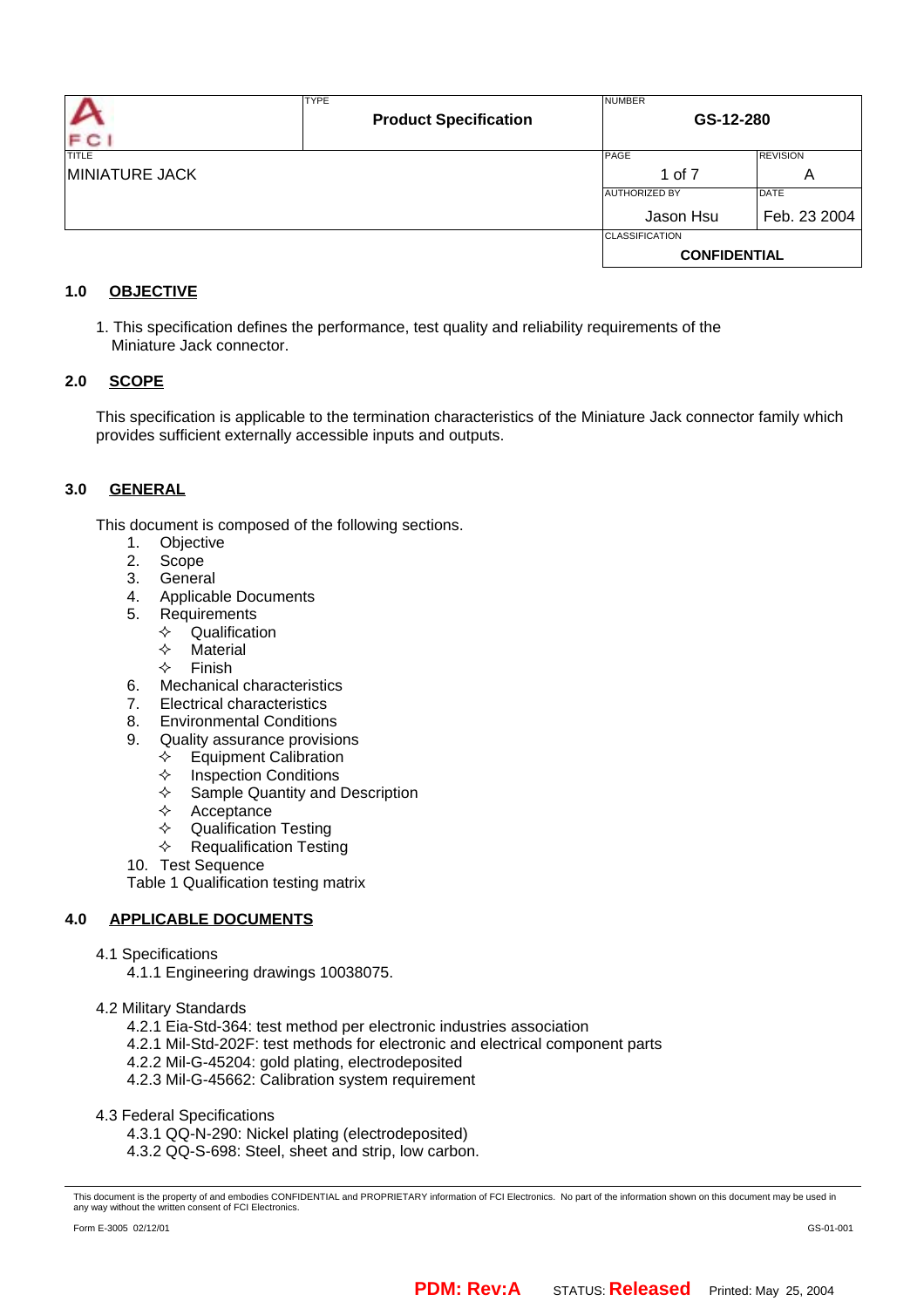| F C                   | <b>TYPE</b><br><b>Product Specification</b> | <b>NUMBER</b><br>GS-12-280 |                 |  |
|-----------------------|---------------------------------------------|----------------------------|-----------------|--|
| <b>TITLE</b>          |                                             | PAGE                       | <b>REVISION</b> |  |
| <b>MINIATURE JACK</b> |                                             | 1 of 7                     | Α               |  |
|                       |                                             | <b>AUTHORIZED BY</b>       | <b>DATE</b>     |  |
|                       |                                             | Jason Hsu                  | Feb. 23 2004    |  |
|                       |                                             | <b>CLASSIFICATION</b>      |                 |  |
|                       |                                             | <b>CONFIDENTIAL</b>        |                 |  |

# **1.0 OBJECTIVE**

1. This specification defines the performance, test quality and reliability requirements of the Miniature Jack connector.

# **2.0 SCOPE**

This specification is applicable to the termination characteristics of the Miniature Jack connector family which provides sufficient externally accessible inputs and outputs.

# **3.0 GENERAL**

This document is composed of the following sections.

- 1. Objective
- 2. Scope
- 3. General
- 4. Applicable Documents
- 5. Requirements
	- $\Diamond$  Qualification
	- $\Leftrightarrow$  Material
	- $\Leftrightarrow$  Finish
- 6. Mechanical characteristics
- 7. Electrical characteristics
- 8. Environmental Conditions
- 9. Quality assurance provisions
	- $\Leftrightarrow$  Equipment Calibration
	- $\Leftrightarrow$  Inspection Conditions
	- $\Leftrightarrow$  Sample Quantity and Description
	- $\triangle$  Acceptance
	- $\Leftrightarrow$  Qualification Testing
	- $\Leftrightarrow$  Requalification Testing
- 10. Test Sequence

Table 1 Qualification testing matrix

# **4.0 APPLICABLE DOCUMENTS**

4.1 Specifications

4.1.1 Engineering drawings 10038075.

- 4.2 Military Standards
	- 4.2.1 Eia-Std-364: test method per electronic industries association
	- 4.2.1 Mil-Std-202F: test methods for electronic and electrical component parts
	- 4.2.2 Mil-G-45204: gold plating, electrodeposited
	- 4.2.3 Mil-G-45662: Calibration system requirement
- 4.3 Federal Specifications
	- 4.3.1 QQ-N-290: Nickel plating (electrodeposited)
	- 4.3.2 QQ-S-698: Steel, sheet and strip, low carbon.

This document is the property of and embodies CONFIDENTIAL and PROPRIETARY information of FCI Electronics. No part of the information shown on this document may be used in<br>any way without the written consent of FCI Electro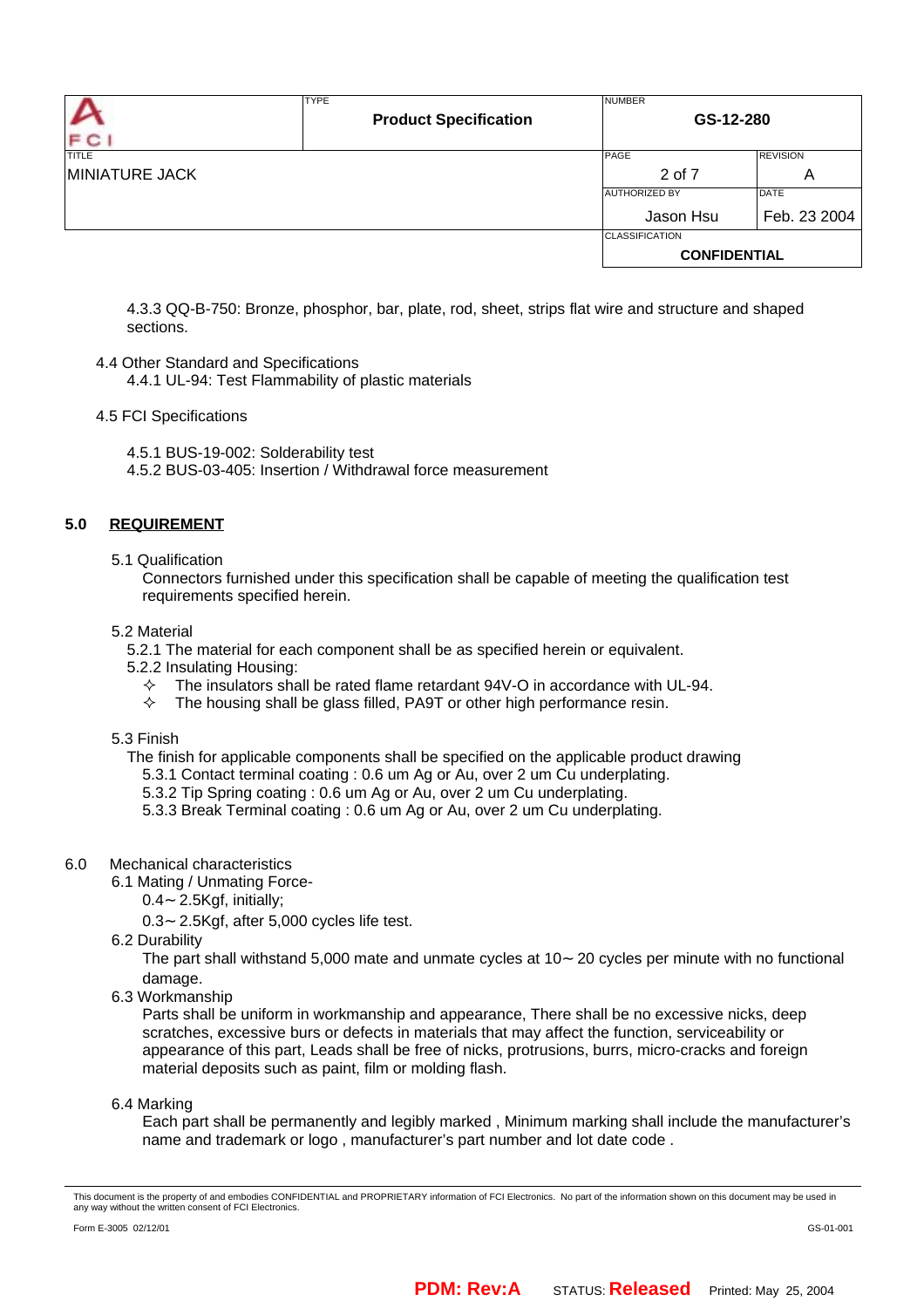|                       | <b>TYPE</b><br><b>Product Specification</b> | <b>NUMBER</b><br>GS-12-280 |                 |  |
|-----------------------|---------------------------------------------|----------------------------|-----------------|--|
| F C<br><b>TITLE</b>   |                                             | PAGE                       | <b>REVISION</b> |  |
| <b>MINIATURE JACK</b> |                                             | 2 of 7<br>A                |                 |  |
|                       |                                             | <b>AUTHORIZED BY</b>       | <b>DATE</b>     |  |
|                       |                                             | Jason Hsu                  | Feb. 23 2004    |  |
|                       |                                             | <b>CLASSIFICATION</b>      |                 |  |
|                       |                                             | <b>CONFIDENTIAL</b>        |                 |  |

4.3.3 QQ-B-750: Bronze, phosphor, bar, plate, rod, sheet, strips flat wire and structure and shaped sections.

#### 4.4 Other Standard and Specifications

4.4.1 UL-94: Test Flammability of plastic materials

#### 4.5 FCI Specifications

4.5.1 BUS-19-002: Solderability test 4.5.2 BUS-03-405: Insertion / Withdrawal force measurement

## **5.0 REQUIREMENT**

5.1 Qualification

Connectors furnished under this specification shall be capable of meeting the qualification test requirements specified herein.

#### 5.2 Material

5.2.1 The material for each component shall be as specified herein or equivalent.

- 5.2.2 Insulating Housing:
	- The insulators shall be rated flame retardant 94V-O in accordance with UL-94.
	- The modiators shall be glass filled, PA9T or other high performance resin.<br>← The housing shall be glass filled, PA9T or other high performance resin.

5.3 Finish

- The finish for applicable components shall be specified on the applicable product drawing
	- 5.3.1 Contact terminal coating : 0.6 um Ag or Au, over 2 um Cu underplating.
	- 5.3.2 Tip Spring coating : 0.6 um Ag or Au, over 2 um Cu underplating.
	- 5.3.3 Break Terminal coating : 0.6 um Ag or Au, over 2 um Cu underplating.

#### 6.0 Mechanical characteristics

- 6.1 Mating / Unmating Force-
	- 0.4 2.5Kgf, initially;
	- 0.3 2.5Kgf, after 5,000 cycles life test.
- 6.2 Durability

The part shall withstand 5,000 mate and unmate cycles at 10 20 cycles per minute with no functional damage.

6.3 Workmanship

Parts shall be uniform in workmanship and appearance, There shall be no excessive nicks, deep scratches, excessive burs or defects in materials that may affect the function, serviceability or appearance of this part, Leads shall be free of nicks, protrusions, burrs, micro-cracks and foreign material deposits such as paint, film or molding flash.

6.4 Marking

Each part shall be permanently and legibly marked , Minimum marking shall include the manufacturer's name and trademark or logo , manufacturer's part number and lot date code .

This document is the property of and embodies CONFIDENTIAL and PROPRIETARY information of FCI Electronics. No part of the information shown on this document may be used in<br>any way without the written consent of FCI Electro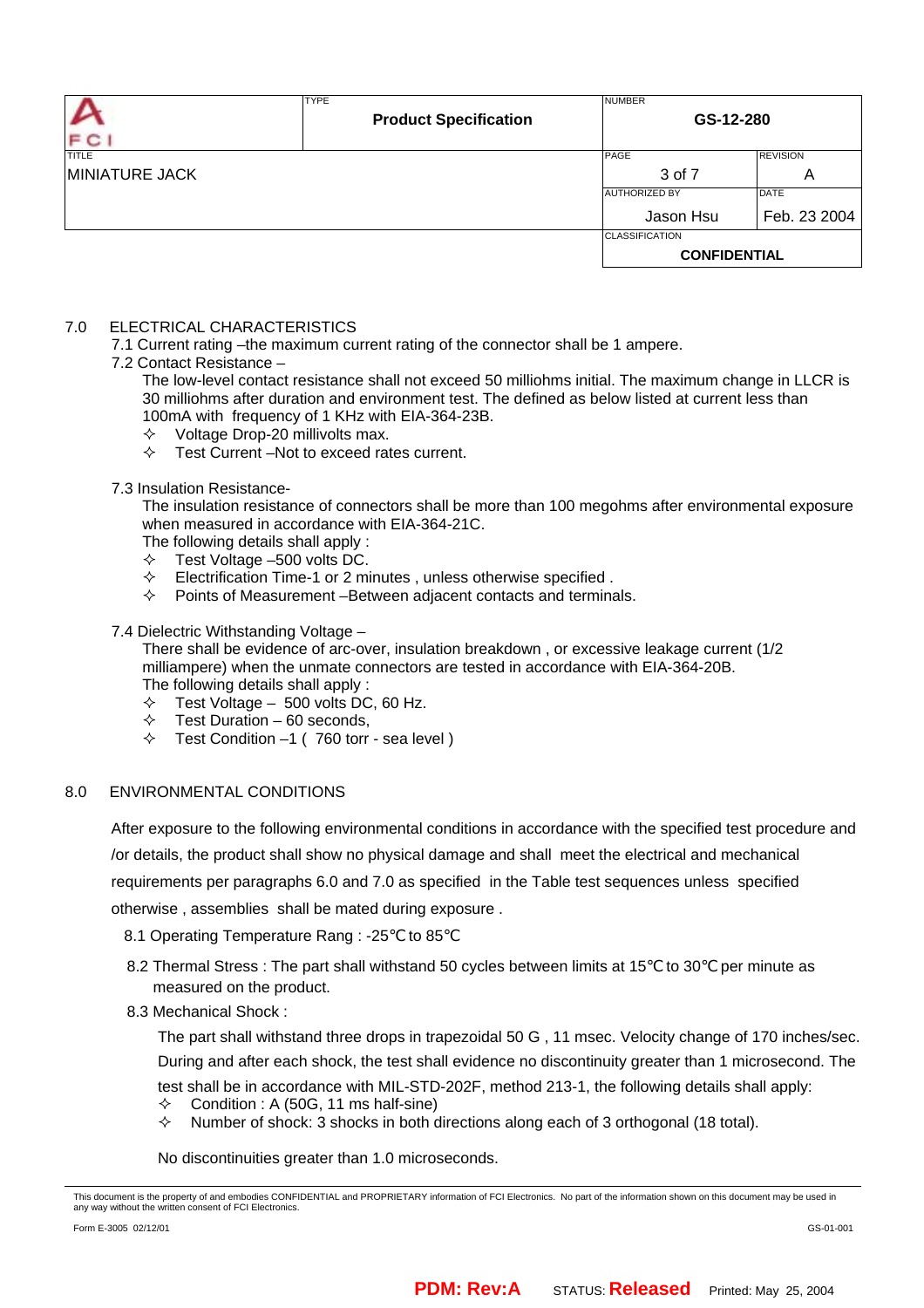| F C                   | <b>TYPE</b><br><b>Product Specification</b> | <b>NUMBER</b><br>GS-12-280 |                 |  |
|-----------------------|---------------------------------------------|----------------------------|-----------------|--|
| <b>TITLE</b>          |                                             | PAGE                       | <b>REVISION</b> |  |
| <b>MINIATURE JACK</b> |                                             | 3 of 7<br>A                |                 |  |
|                       |                                             | <b>AUTHORIZED BY</b>       | <b>DATE</b>     |  |
|                       |                                             | Jason Hsu                  | Feb. 23 2004    |  |
|                       |                                             | <b>CLASSIFICATION</b>      |                 |  |
|                       |                                             | <b>CONFIDENTIAL</b>        |                 |  |

#### 7.0 ELECTRICAL CHARACTERISTICS

7.1 Current rating –the maximum current rating of the connector shall be 1 ampere.

#### 7.2 Contact Resistance –

The low-level contact resistance shall not exceed 50 milliohms initial. The maximum change in LLCR is 30 milliohms after duration and environment test. The defined as below listed at current less than 100mA with frequency of 1 KHz with EIA-364-23B.

- $\diamond$  Voltage Drop-20 millivolts max.
- $\div$  Test Current –Not to exceed rates current.
- 7.3 Insulation Resistance-

The insulation resistance of connectors shall be more than 100 megohms after environmental exposure when measured in accordance with EIA-364-21C.

- The following details shall apply :
- $\div$  Test Voltage -500 volts DC.
- $\Diamond$  Electrification Time-1 or 2 minutes, unless otherwise specified.
- $\Diamond$  Points of Measurement -Between adjacent contacts and terminals.

#### 7.4 Dielectric Withstanding Voltage –

There shall be evidence of arc-over, insulation breakdown , or excessive leakage current (1/2 milliampere) when the unmate connectors are tested in accordance with EIA-364-20B. The following details shall apply :

- $\div$  Test Voltage 500 volts DC, 60 Hz.
- $\div$  Test Duration 60 seconds,
- $\div$  Test Condition -1 (760 torr sea level)

# 8.0 ENVIRONMENTAL CONDITIONS

After exposure to the following environmental conditions in accordance with the specified test procedure and

/or details, the product shall show no physical damage and shall meet the electrical and mechanical

requirements per paragraphs 6.0 and 7.0 as specified in the Table test sequences unless specified

otherwise , assemblies shall be mated during exposure .

8.1 Operating Temperature Rang : -25 to 85

- 8.2 Thermal Stress : The part shall withstand 50 cycles between limits at 15 to 30 per minute as measured on the product.
- 8.3 Mechanical Shock :

The part shall withstand three drops in trapezoidal 50 G , 11 msec. Velocity change of 170 inches/sec. During and after each shock, the test shall evidence no discontinuity greater than 1 microsecond. The test shall be in accordance with MIL-STD-202F, method 213-1, the following details shall apply:

- $\diamond$  Condition : A (50G, 11 ms half-sine)
- $\Diamond$  Number of shock: 3 shocks in both directions along each of 3 orthogonal (18 total).

No discontinuities greater than 1.0 microseconds.

This document is the property of and embodies CONFIDENTIAL and PROPRIETARY information of FCI Electronics. No part of the information shown on this document may be used in<br>any way without the written consent of FCI Electro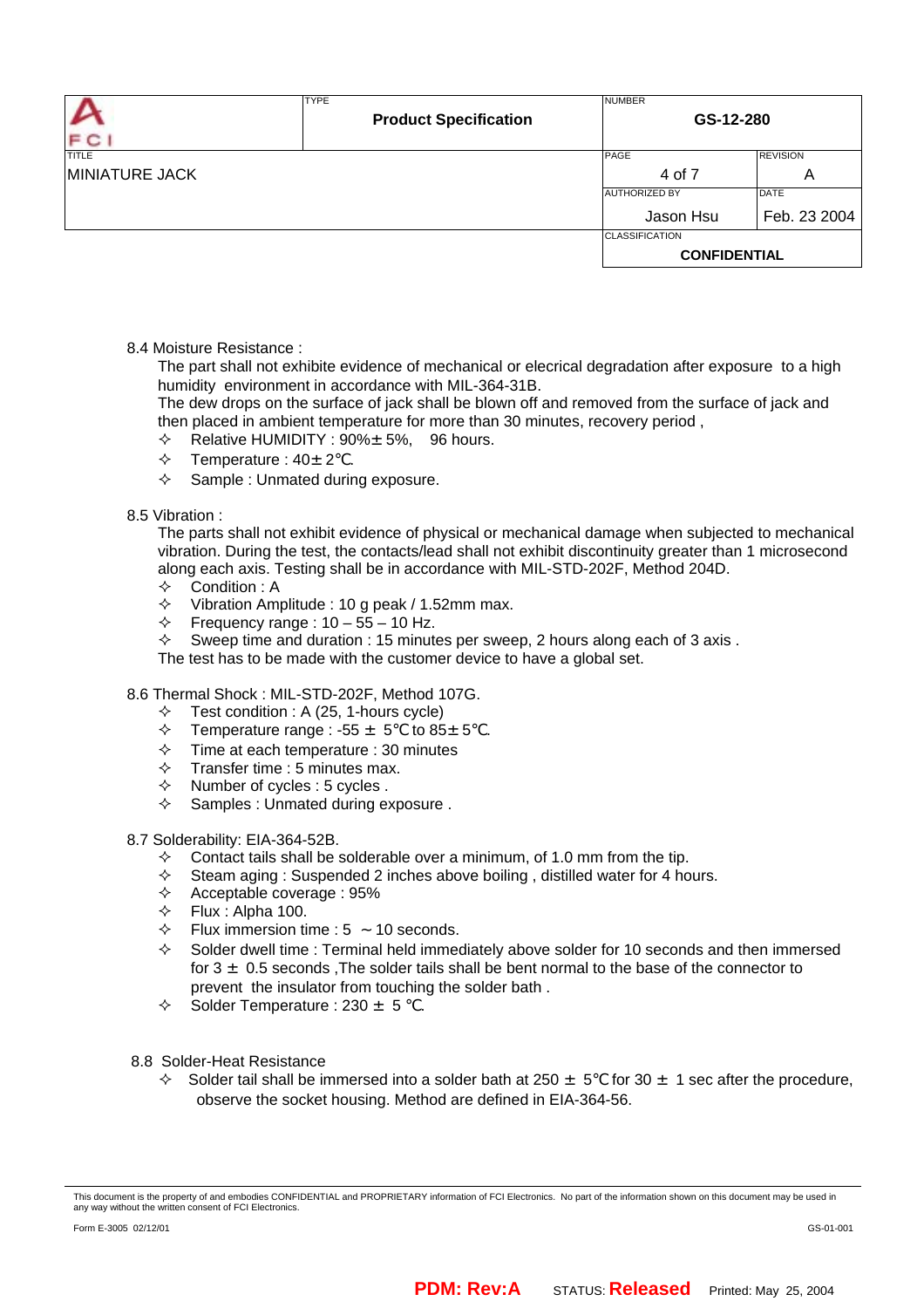|                       | <b>TYPE</b>                  | <b>NUMBER</b>                       |                 |  |
|-----------------------|------------------------------|-------------------------------------|-----------------|--|
|                       | <b>Product Specification</b> | GS-12-280                           |                 |  |
| FC1                   |                              |                                     |                 |  |
| <b>TITLE</b>          |                              | PAGE                                | <b>REVISION</b> |  |
| <b>MINIATURE JACK</b> |                              | 4 of 7<br>A                         |                 |  |
|                       |                              | <b>DATE</b><br><b>AUTHORIZED BY</b> |                 |  |
|                       |                              | Jason Hsu                           | Feb. 23 2004    |  |
|                       |                              | <b>CLASSIFICATION</b>               |                 |  |
|                       |                              | <b>CONFIDENTIAL</b>                 |                 |  |

8.4 Moisture Resistance :

The part shall not exhibite evidence of mechanical or elecrical degradation after exposure to a high humidity environment in accordance with MIL-364-31B.

The dew drops on the surface of jack shall be blown off and removed from the surface of jack and then placed in ambient temperature for more than 30 minutes, recovery period ,

- $\div$  Relative HUMIDITY : 90% $\pm$  5%, 96 hours.
- $\div$  Temperature : 40 $\pm$  2.
- $\diamond$  Sample : Unmated during exposure.

#### 8.5 Vibration :

The parts shall not exhibit evidence of physical or mechanical damage when subjected to mechanical vibration. During the test, the contacts/lead shall not exhibit discontinuity greater than 1 microsecond along each axis. Testing shall be in accordance with MIL-STD-202F, Method 204D.

- $\Leftrightarrow$  Condition : A
- $\div$  Vibration Amplitude : 10 g peak / 1.52mm max.
- $\div$  Frequency range : 10 55 10 Hz.
- $\Diamond$  Sweep time and duration : 15 minutes per sweep, 2 hours along each of 3 axis.

The test has to be made with the customer device to have a global set.

# 8.6 Thermal Shock : MIL-STD-202F, Method 107G.

- $\div$  Test condition : A (25, 1-hours cycle)
- Thermal Shock : MIL-STD-202F, Method 107G.<br>✧ Test condition : A (25, 1-hours cycle)<br>✧ Temperature range : -55 ± 5 to 85± 5 .
- $\div$  Time at each temperature : 30 minutes
- $\div$  Transfer time : 5 minutes max.
- $\Diamond$  Number of cycles : 5 cycles .
- $\diamond$  Samples : Unmated during exposure.

#### 8.7 Solderability: EIA-364-52B.

- $\diamond$  Contact tails shall be solderable over a minimum, of 1.0 mm from the tip.
- $\Diamond$  Steam aging : Suspended 2 inches above boiling, distilled water for 4 hours.
- $\div$  Acceptable coverage : 95%
- $\div$  Flux : Alpha 100.
- $\div$  Flux immersion time : 5 10 seconds.
- $\Diamond$  Solder dwell time : Terminal held immediately above solder for 10 seconds and then immersed for  $3 \pm 0.5$  seconds , The solder tails shall be bent normal to the base of the connector to prevent the insulator from touching the solder bath .
- $\div$  Solder Temperature : 230  $\pm$  5 .
- 8.8 Solder-Heat Resistance
	- $\div$  Solder tail shall be immersed into a solder bath at 250  $\pm$  5 for 30  $\pm$  1 sec after the procedure, observe the socket housing. Method are defined in EIA-364-56.

This document is the property of and embodies CONFIDENTIAL and PROPRIETARY information of FCI Electronics. No part of the information shown on this document may be used in<br>any way without the written consent of FCI Electro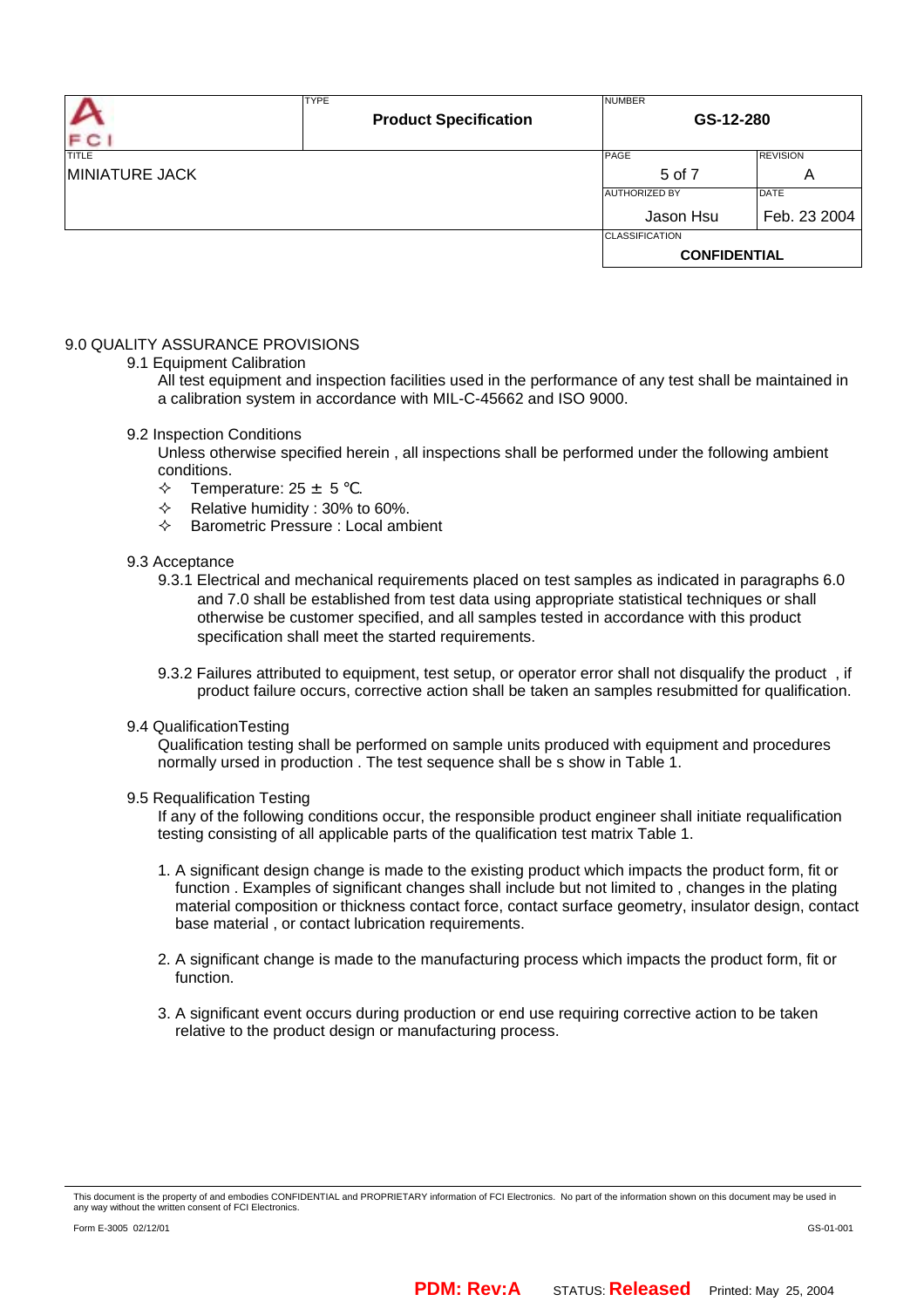| F C                   | <b>TYPE</b><br><b>Product Specification</b> | <b>NUMBER</b><br>GS-12-280 |                 |  |
|-----------------------|---------------------------------------------|----------------------------|-----------------|--|
| <b>TITLE</b>          |                                             | PAGE                       | <b>REVISION</b> |  |
| <b>MINIATURE JACK</b> |                                             | 5 of 7<br>A                |                 |  |
|                       |                                             | <b>AUTHORIZED BY</b>       | DATE            |  |
|                       |                                             | Jason Hsu                  | Feb. 23 2004    |  |
|                       |                                             | <b>CLASSIFICATION</b>      |                 |  |
|                       |                                             | <b>CONFIDENTIAL</b>        |                 |  |

## 9.0 QUALITY ASSURANCE PROVISIONS

9.1 Equipment Calibration

All test equipment and inspection facilities used in the performance of any test shall be maintained in a calibration system in accordance with MIL-C-45662 and ISO 9000.

- 9.2 Inspection Conditions
	- Unless otherwise specified herein , all inspections shall be performed under the following ambient conditions.
	- $\div$  Temperature: 25  $\pm$  5
	- $\div$  Relative humidity : 30% to 60%.
	- $\Leftrightarrow$  Barometric Pressure : Local ambient

#### 9.3 Acceptance

- 9.3.1 Electrical and mechanical requirements placed on test samples as indicated in paragraphs 6.0 and 7.0 shall be established from test data using appropriate statistical techniques or shall otherwise be customer specified, and all samples tested in accordance with this product specification shall meet the started requirements.
- 9.3.2 Failures attributed to equipment, test setup, or operator error shall not disqualify the product , if product failure occurs, corrective action shall be taken an samples resubmitted for qualification.<br>cationTesting
- 9.4 QualificationTesting

Qualification testing shall be performed on sample units produced with equipment and procedures normally ursed in production . The test sequence shall be s show in Table 1.

#### 9.5 Requalification Testing

If any of the following conditions occur, the responsible product engineer shall initiate requalification testing consisting of all applicable parts of the qualification test matrix Table 1.

- 1. A significant design change is made to the existing product which impacts the product form, fit or function . Examples of significant changes shall include but not limited to , changes in the plating material composition or thickness contact force, contact surface geometry, insulator design, contact base material , or contact lubrication requirements.
- 2. A significant change is made to the manufacturing process which impacts the product form, fit or function.
- 3. A significant event occurs during production or end use requiring corrective action to be taken relative to the product design or manufacturing process.

This document is the property of and embodies CONFIDENTIAL and PROPRIETARY information of FCI Electronics. No part of the information shown on this document may be used in<br>any way without the written consent of FCI Electro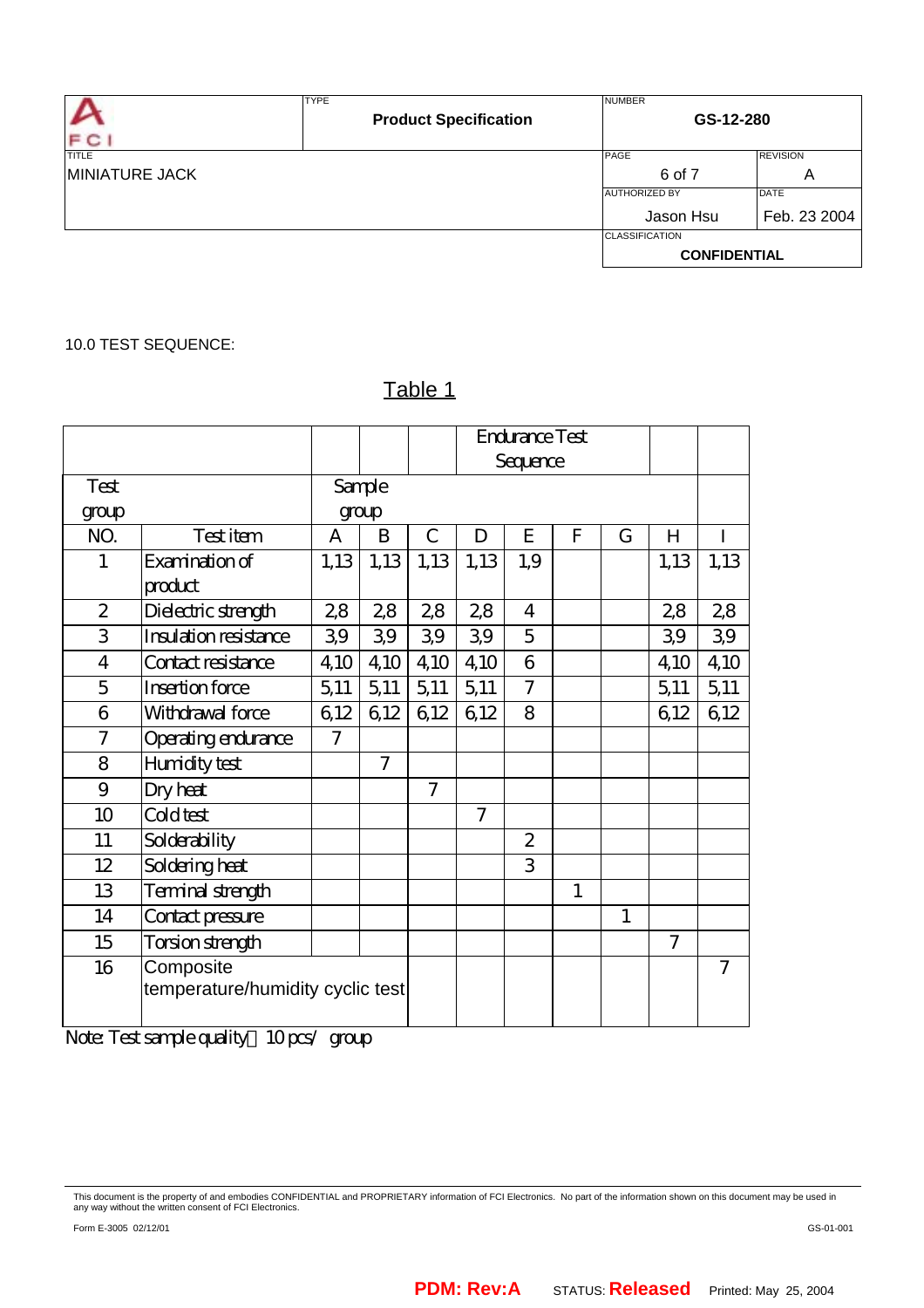| F C                                   | <b>TYPE</b><br><b>Product Specification</b> | <b>NUMBER</b>                                | GS-12-280                   |  |  |
|---------------------------------------|---------------------------------------------|----------------------------------------------|-----------------------------|--|--|
| <b>TITLE</b><br><b>MINIATURE JACK</b> |                                             | PAGE<br>6 of 7                               | <b>REVISION</b><br>A        |  |  |
|                                       |                                             | <b>AUTHORIZED BY</b><br>Jason Hsu            | <b>DATE</b><br>Feb. 23 2004 |  |  |
|                                       |                                             | <b>CLASSIFICATION</b><br><b>CONFIDENTIAL</b> |                             |  |  |

# 10.0 TEST SEQUENCE:

# Table 1

|                |                                  |                |                |                |                | Endurance Test |              |   |                |                |
|----------------|----------------------------------|----------------|----------------|----------------|----------------|----------------|--------------|---|----------------|----------------|
|                |                                  |                |                |                |                | Sequence       |              |   |                |                |
| Test           |                                  |                | Sample         |                |                |                |              |   |                |                |
| group          |                                  |                | group          |                |                |                |              |   |                |                |
| NO.            | Testitem                         | A              | B              | C              | D              | E              | F            | G | Н              |                |
| 1              | Examination of                   | 1,13           | 1,13           | 1,13           | 1,13           | 1,9            |              |   | 1,13           | 1,13           |
|                | product                          |                |                |                |                |                |              |   |                |                |
| $\overline{2}$ | Dielectric strength              | 28             | 28             | 28             | 28             | $\overline{4}$ |              |   | 28             | 28             |
| 3              | Insulation resistance            | 3,9            | 39             | 39             | 39             | 5              |              |   | 39             | 39             |
| 4              | Contact resistance               | 4,10           | 4,10           | 4,10           | 4,10           | 6              |              |   | 4,10           | 4,10           |
| 5              | Insertion force                  | 5,11           | 5,11           | 5,11           | 5,11           | $\overline{7}$ |              |   | 5,11           | 5,11           |
| 6              | Withdrawal force                 | 612            | 612            | 6,12           | 6,12           | 8              |              |   | 612            | 612            |
| 7              | Operating endurance              | $\overline{7}$ |                |                |                |                |              |   |                |                |
| 8              | Humidity test                    |                | $\overline{7}$ |                |                |                |              |   |                |                |
| 9              | Dry heat                         |                |                | $\overline{7}$ |                |                |              |   |                |                |
| 10             | Cold test                        |                |                |                | $\overline{7}$ |                |              |   |                |                |
| 11             | Solderability                    |                |                |                |                | $\overline{2}$ |              |   |                |                |
| 12             | Soldering heat                   |                |                |                |                | 3              |              |   |                |                |
| 13             | Terminal strength                |                |                |                |                |                | $\mathbf{1}$ |   |                |                |
| 14             | Contact pressure                 |                |                |                |                |                |              | 1 |                |                |
| 15             | Torsion strength                 |                |                |                |                |                |              |   | $\overline{7}$ |                |
| 16             | Composite                        |                |                |                |                |                |              |   |                | $\overline{7}$ |
|                | temperature/humidity cyclic test |                |                |                |                |                |              |   |                |                |
|                |                                  |                |                |                |                |                |              |   |                |                |

Note: Test sample quality: 10 pcs group

This document is the property of and embodies CONFIDENTIAL and PROPRIETARY information of FCI Electronics. No part of the information shown on this document may be used in<br>any way without the written consent of FCI Electro